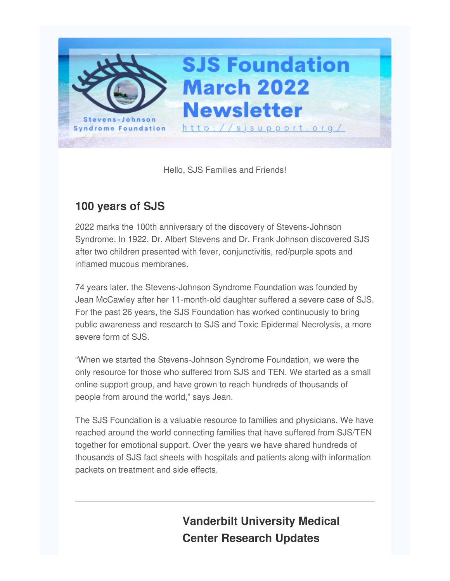

Hello, SJS Families and Friends!

#### **100 years of SJS**

2022 marks the 100th anniversary of the discovery of Stevens-Johnson Syndrome. In 1922, Dr. Albert Stevens and Dr. Frank Johnson discovered SJS after two children presented with fever, conjunctivitis, red/purple spots and inflamed mucous membranes.

74 years later, the Stevens-Johnson Syndrome Foundation was founded by Jean McCawley after her 11-month-old daughter suffered a severe case of SJS. For the past 26 years, the SJS Foundation has worked continuously to bring public awareness and research to SJS and Toxic Epidermal Necrolysis, a more severe form of SJS.

"When we started the Stevens-Johnson Syndrome Foundation, we were the only resource for those who suffered from SJS and TEN. We started as a small online support group, and have grown to reach hundreds of thousands of people from around the world," says Jean.

The SJS Foundation is a valuable resource to families and physicians. We have reached around the world connecting families that have suffered from SJS/TEN together for emotional support. Over the years we have shared hundreds of thousands of SJS fact sheets with hospitals and patients along with information packets on treatment and side effects.

> **Vanderbilt University Medical Center Research Updates**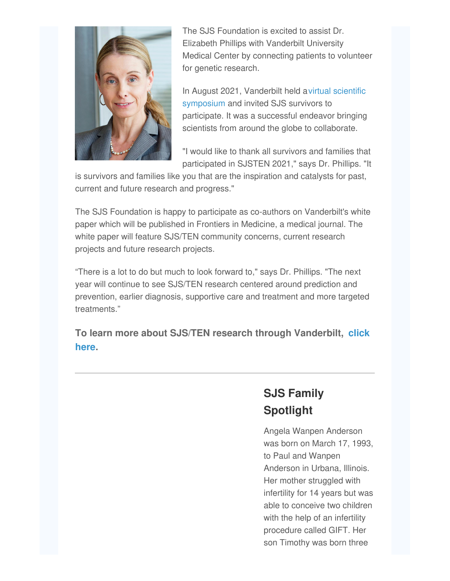

The SJS Foundation is excited to assist Dr. Elizabeth Phillips with Vanderbilt University Medical Center by connecting patients to volunteer for genetic research.

In August 2021, Vanderbilt held avirtual scientific [symposium](https://medsites.vumc.org/centerfordrugsafetyandimmunology/sjsten-2021-meeting) and invited SJS survivors to participate. It was a successful endeavor bringing scientists from around the globe to collaborate.

"I would like to thank all survivors and families that participated in SJSTEN 2021," says Dr. Phillips. "It

is survivors and families like you that are the inspiration and catalysts for past, current and future research and progress."

The SJS Foundation is happy to participate as co-authors on Vanderbilt's white paper which will be published in Frontiers in Medicine, a medical journal. The white paper will feature SJS/TEN community concerns, current research projects and future research projects.

"There is a lot to do but much to look forward to," says Dr. Phillips. "The next year will continue to see SJS/TEN research centered around prediction and prevention, earlier diagnosis, supportive care and treatment and more targeted treatments."

**To learn more about SJS/TEN research through [Vanderbilt,](http://sjsupport.org/?page_id=1997) click here.**

# **SJS Family Spotlight**

Angela Wanpen Anderson was born on March 17, 1993, to Paul and Wanpen Anderson in Urbana, Illinois. Her mother struggled with infertility for 14 years but was able to conceive two children with the help of an infertility procedure called GIFT. Her son Timothy was born three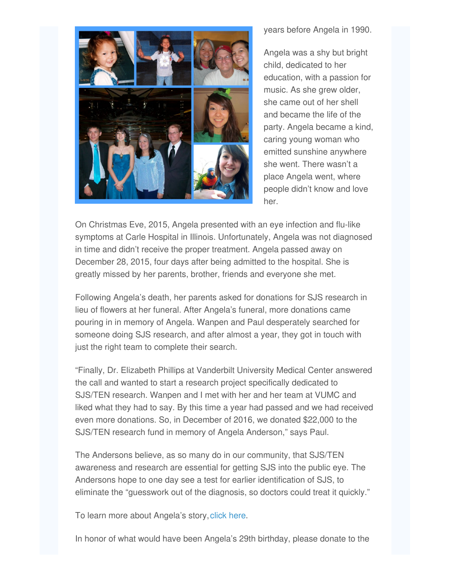

years before Angela in 1990.

Angela was a shy but bright child, dedicated to her education, with a passion for music. As she grew older, she came out of her shell and became the life of the party. Angela became a kind, caring young woman who emitted sunshine anywhere she went. There wasn't a place Angela went, where people didn't know and love her.

On Christmas Eve, 2015, Angela presented with an eye infection and flu-like symptoms at Carle Hospital in Illinois. Unfortunately, Angela was not diagnosed in time and didn't receive the proper treatment. Angela passed away on December 28, 2015, four days after being admitted to the hospital. She is greatly missed by her parents, brother, friends and everyone she met.

Following Angela's death, her parents asked for donations for SJS research in lieu of flowers at her funeral. After Angela's funeral, more donations came pouring in in memory of Angela. Wanpen and Paul desperately searched for someone doing SJS research, and after almost a year, they got in touch with just the right team to complete their search.

"Finally, Dr. Elizabeth Phillips at Vanderbilt University Medical Center answered the call and wanted to start a research project specifically dedicated to SJS/TEN research. Wanpen and I met with her and her team at VUMC and liked what they had to say. By this time a year had passed and we had received even more donations. So, in December of 2016, we donated \$22,000 to the SJS/TEN research fund in memory of Angela Anderson," says Paul.

The Andersons believe, as so many do in our community, that SJS/TEN awareness and research are essential for getting SJS into the public eye. The Andersons hope to one day see a test for earlier identification of SJS, to eliminate the "guesswork out of the diagnosis, so doctors could treat it quickly."

To learn more about Angela's story, [click](http://www.angelawanpenanderson.com/about/) here.

In honor of what would have been Angela's 29th birthday, please donate to the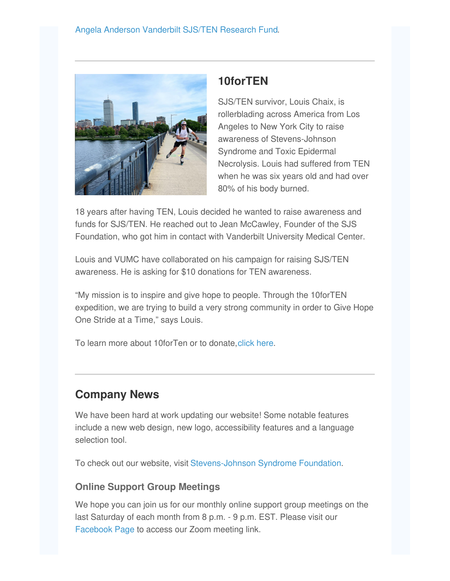

## **10forTEN**

SJS/TEN survivor, Louis Chaix, is rollerblading across America from Los Angeles to New York City to raise awareness of Stevens-Johnson Syndrome and Toxic Epidermal Necrolysis. Louis had suffered from TEN when he was six years old and had over 80% of his body burned.

18 years after having TEN, Louis decided he wanted to raise awareness and funds for SJS/TEN. He reached out to Jean McCawley, Founder of the SJS Foundation, who got him in contact with Vanderbilt University Medical Center.

Louis and VUMC have collaborated on his campaign for raising SJS/TEN awareness. He is asking for \$10 donations for TEN awareness.

"My mission is to inspire and give hope to people. Through the 10forTEN expedition, we are trying to build a very strong community in order to Give Hope One Stride at a Time," says Louis.

To learn more about 10forTen or to donate[,click](https://give.vanderbilthealth.org/campaign/10forten/c359866) here.

## **Company News**

We have been hard at work updating our website! Some notable features include a new web design, new logo, accessibility features and a language selection tool.

To check out our website, visit [Stevens-Johnson](http://sjsupport.org/) Syndrome Foundation.

#### **Online Support Group Meetings**

We hope you can join us for our monthly online support group meetings on the last Saturday of each month from 8 p.m. - 9 p.m. EST. Please visit our [Facebook](https://www.facebook.com/sjsupport) Page to access our Zoom meeting link.